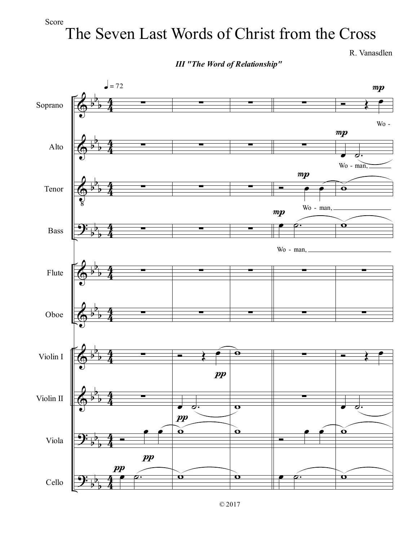## The Seven Last Words of Christ from the Cross

R. Vanasdlen



## *III "The Word of Relationship"*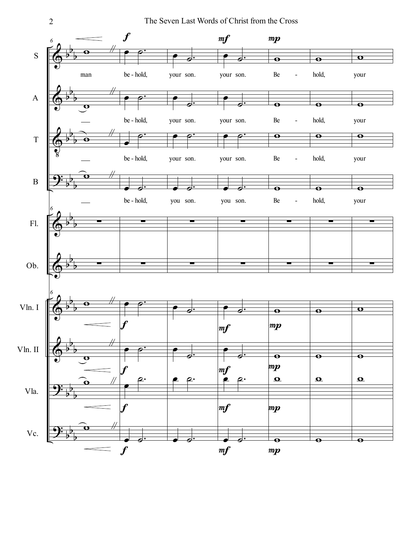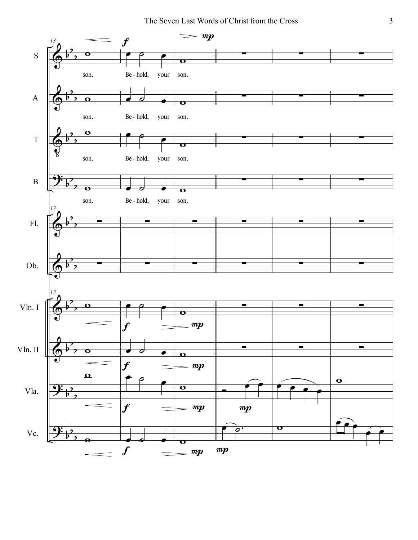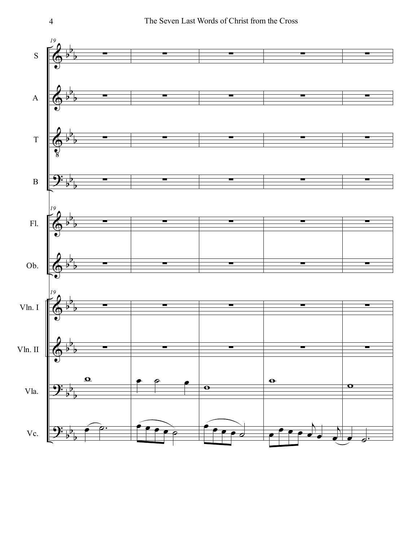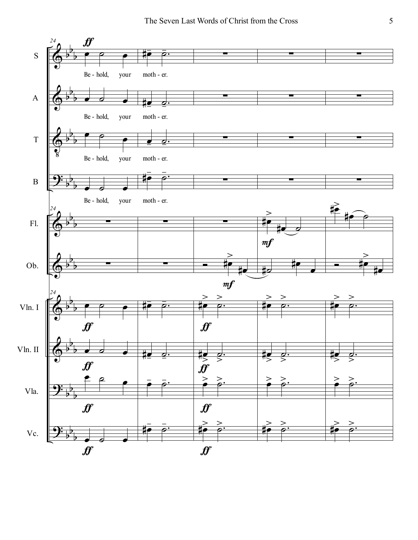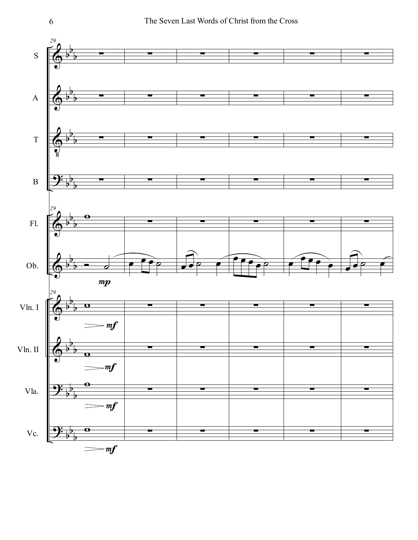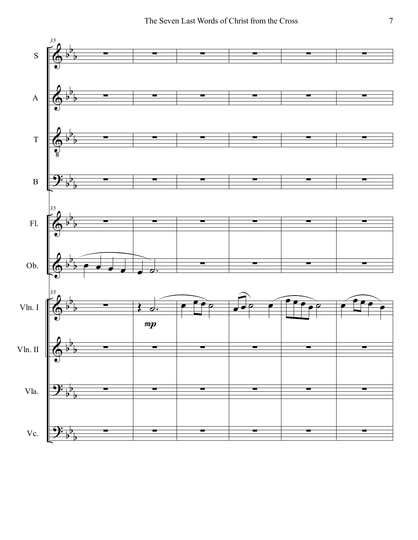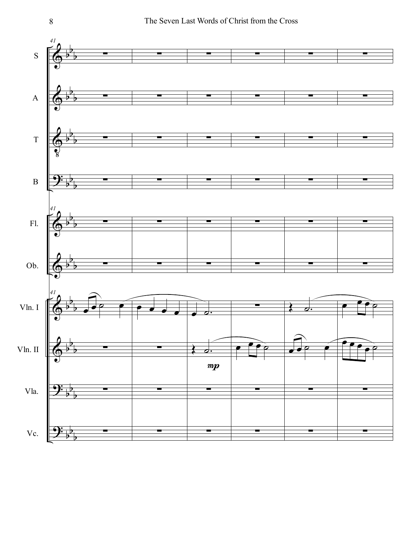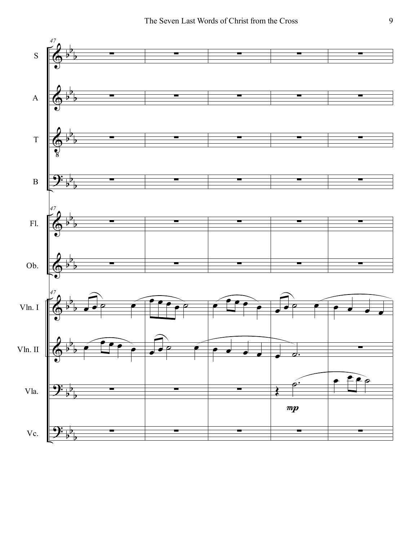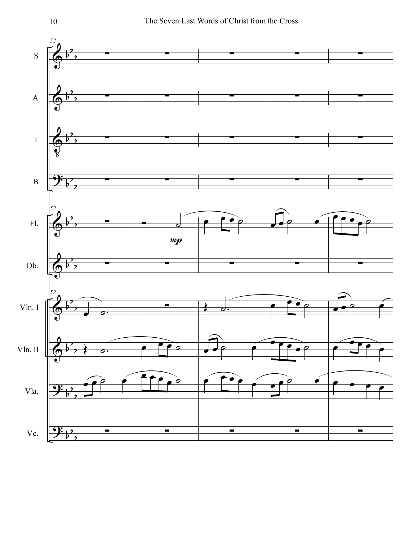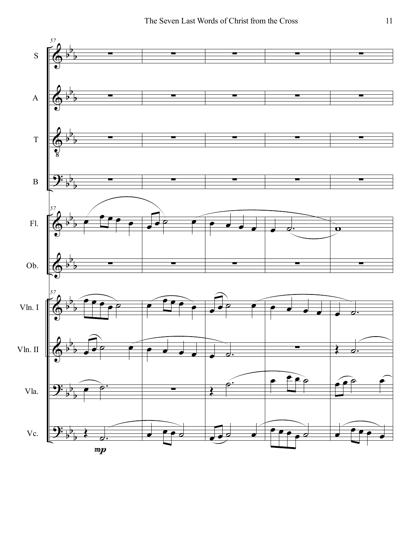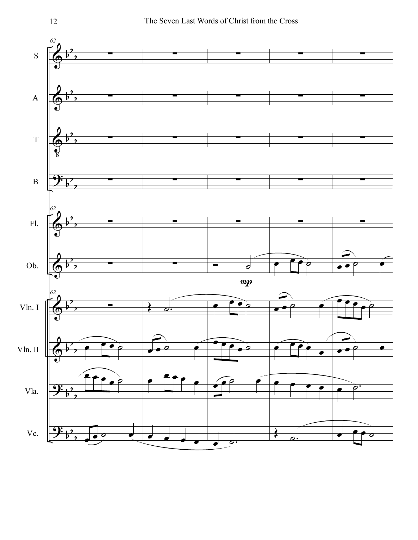![](_page_11_Figure_0.jpeg)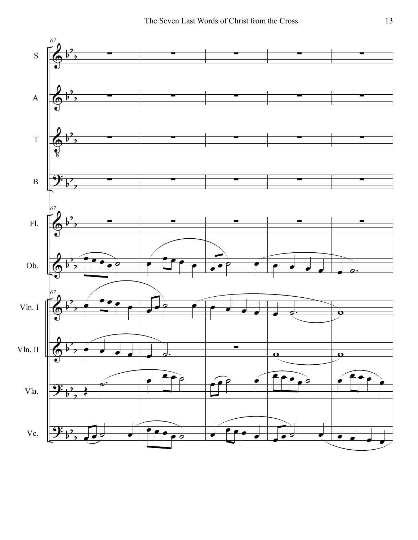![](_page_12_Figure_1.jpeg)